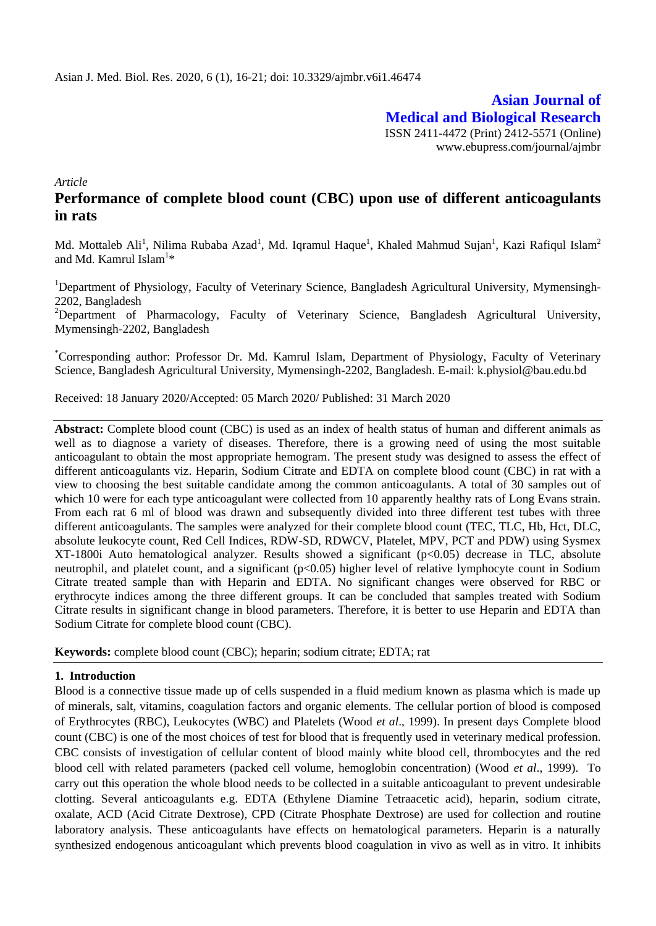**Asian Journal of Medical and Biological Research** ISSN 2411-4472 (Print) 2412-5571 (Online) www.ebupress.com/journal/ajmbr

*Article*

# **Performance of complete blood count (CBC) upon use of different anticoagulants in rats**

Md. Mottaleb Ali<sup>1</sup>, Nilima Rubaba Azad<sup>1</sup>, Md. Iqramul Haque<sup>1</sup>, Khaled Mahmud Sujan<sup>1</sup>, Kazi Rafiqul Islam<sup>2</sup> and Md. Kamrul Islam $^{1\ast}$ 

<sup>1</sup>Department of Physiology, Faculty of Veterinary Science, Bangladesh Agricultural University, Mymensingh-2202, Bangladesh

<sup>2</sup>Department of Pharmacology, Faculty of Veterinary Science, Bangladesh Agricultural University, Mymensingh-2202, Bangladesh

\*Corresponding author: Professor Dr. Md. Kamrul Islam, Department of Physiology, Faculty of Veterinary Science, Bangladesh Agricultural University, Mymensingh-2202, Bangladesh. E-mail: [k.physiol@bau.edu.bd](mailto:k.physiol@bau.edu.bd)

Received: 18 January 2020/Accepted: 05 March 2020/ Published: 31 March 2020

**Abstract:** Complete blood count (CBC) is used as an index of health status of human and different animals as well as to diagnose a variety of diseases. Therefore, there is a growing need of using the most suitable anticoagulant to obtain the most appropriate hemogram. The present study was designed to assess the effect of different anticoagulants viz. Heparin, Sodium Citrate and EDTA on complete blood count (CBC) in rat with a view to choosing the best suitable candidate among the common anticoagulants. A total of 30 samples out of which 10 were for each type anticoagulant were collected from 10 apparently healthy rats of Long Evans strain. From each rat 6 ml of blood was drawn and subsequently divided into three different test tubes with three different anticoagulants. The samples were analyzed for their complete blood count (TEC, TLC, Hb, Hct, DLC, absolute leukocyte count, Red Cell Indices, RDW-SD, RDWCV, Platelet, MPV, PCT and PDW) using Sysmex XT-1800i Auto hematological analyzer. Results showed a significant (p<0.05) decrease in TLC, absolute neutrophil, and platelet count, and a significant (p<0.05) higher level of relative lymphocyte count in Sodium Citrate treated sample than with Heparin and EDTA. No significant changes were observed for RBC or erythrocyte indices among the three different groups. It can be concluded that samples treated with Sodium Citrate results in significant change in blood parameters. Therefore, it is better to use Heparin and EDTA than Sodium Citrate for complete blood count (CBC).

**Keywords:** complete blood count (CBC); heparin; sodium citrate; EDTA; rat

### **1. Introduction**

Blood is a connective tissue made up of cells suspended in a fluid medium known as plasma which is made up of minerals, salt, vitamins, coagulation factors and organic elements. The cellular portion of blood is composed of Erythrocytes (RBC), Leukocytes (WBC) and Platelets (Wood *et al*., 1999). In present days Complete blood count (CBC) is one of the most choices of test for blood that is frequently used in veterinary medical profession. CBC consists of investigation of cellular content of blood mainly white blood cell, thrombocytes and the red blood cell with related parameters (packed cell volume, hemoglobin concentration) (Wood *et al*., 1999). To carry out this operation the whole blood needs to be collected in a suitable anticoagulant to prevent undesirable clotting. Several anticoagulants e.g. EDTA (Ethylene Diamine Tetraacetic acid), heparin, sodium citrate, oxalate, ACD (Acid Citrate Dextrose), CPD (Citrate Phosphate Dextrose) are used for collection and routine laboratory analysis. These anticoagulants have effects on hematological parameters. Heparin is a naturally synthesized endogenous anticoagulant which prevents blood coagulation in vivo as well as in vitro. It inhibits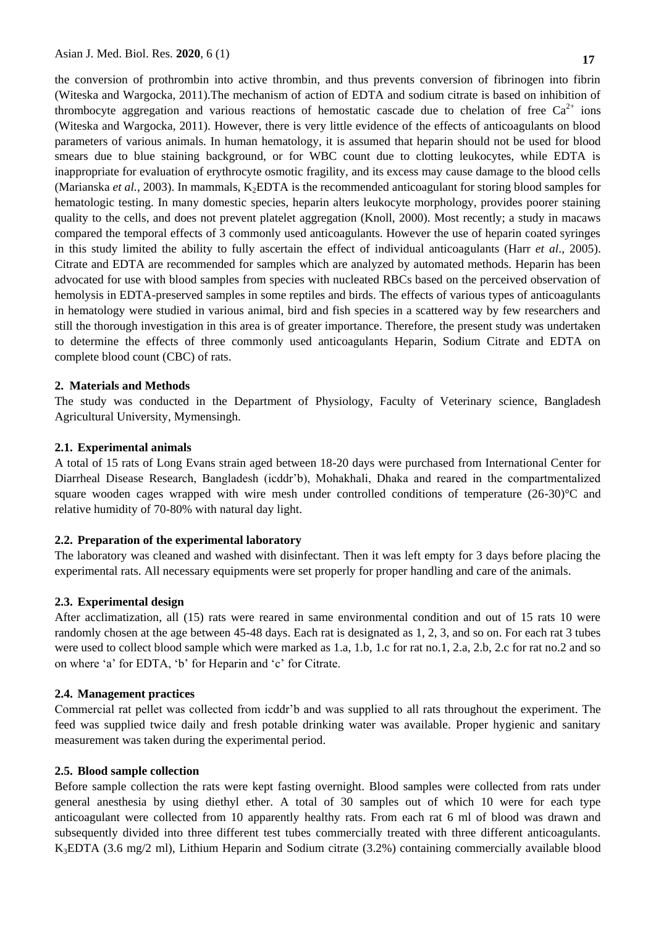the conversion of prothrombin into active thrombin, and thus prevents conversion of fibrinogen into fibrin (Witeska and Wargocka, 2011).The mechanism of action of EDTA and sodium citrate is based on inhibition of thrombocyte aggregation and various reactions of hemostatic cascade due to chelation of free  $Ca^{2+}$  ions (Witeska and Wargocka, 2011). However, there is very little evidence of the effects of anticoagulants on blood parameters of various animals. In human hematology, it is assumed that heparin should not be used for blood smears due to blue staining background, or for WBC count due to clotting leukocytes, while EDTA is inappropriate for evaluation of erythrocyte osmotic fragility, and its excess may cause damage to the blood cells (Marianska *et al.*, 2003). In mammals, K<sub>2</sub>EDTA is the recommended anticoagulant for storing blood samples for hematologic testing. In many domestic species, heparin alters leukocyte morphology, provides poorer staining quality to the cells, and does not prevent platelet aggregation (Knoll, 2000). Most recently; a study in macaws compared the temporal effects of 3 commonly used anticoagulants. However the use of heparin coated syringes in this study limited the ability to fully ascertain the effect of individual anticoagulants (Harr *et al*., 2005). Citrate and EDTA are recommended for samples which are analyzed by automated methods. Heparin has been advocated for use with blood samples from species with nucleated RBCs based on the perceived observation of hemolysis in EDTA-preserved samples in some reptiles and birds. The effects of various types of anticoagulants in hematology were studied in various animal, bird and fish species in a scattered way by few researchers and still the thorough investigation in this area is of greater importance. Therefore, the present study was undertaken to determine the effects of three commonly used anticoagulants Heparin, Sodium Citrate and EDTA on complete blood count (CBC) of rats.

#### **2. Materials and Methods**

The study was conducted in the Department of Physiology, Faculty of Veterinary science, Bangladesh Agricultural University, Mymensingh.

#### **2.1. Experimental animals**

A total of 15 rats of Long Evans strain aged between 18-20 days were purchased from International Center for Diarrheal Disease Research, Bangladesh (icddr'b), Mohakhali, Dhaka and reared in the compartmentalized square wooden cages wrapped with wire mesh under controlled conditions of temperature  $(26-30)$ °C and relative humidity of 70-80% with natural day light.

#### **2.2. Preparation of the experimental laboratory**

The laboratory was cleaned and washed with disinfectant. Then it was left empty for 3 days before placing the experimental rats. All necessary equipments were set properly for proper handling and care of the animals.

#### **2.3. Experimental design**

After acclimatization, all (15) rats were reared in same environmental condition and out of 15 rats 10 were randomly chosen at the age between 45-48 days. Each rat is designated as 1, 2, 3, and so on. For each rat 3 tubes were used to collect blood sample which were marked as 1.a, 1.b, 1.c for rat no.1, 2.a, 2.b, 2.c for rat no.2 and so on where 'a' for EDTA, 'b' for Heparin and 'c' for Citrate.

#### **2.4. Management practices**

Commercial rat pellet was collected from icddr'b and was supplied to all rats throughout the experiment. The feed was supplied twice daily and fresh potable drinking water was available. Proper hygienic and sanitary measurement was taken during the experimental period.

#### **2.5. Blood sample collection**

Before sample collection the rats were kept fasting overnight. Blood samples were collected from rats under general anesthesia by using diethyl ether. A total of 30 samples out of which 10 were for each type anticoagulant were collected from 10 apparently healthy rats. From each rat 6 ml of blood was drawn and subsequently divided into three different test tubes commercially treated with three different anticoagulants. K3EDTA (3.6 mg/2 ml), Lithium Heparin and Sodium citrate (3.2%) containing commercially available blood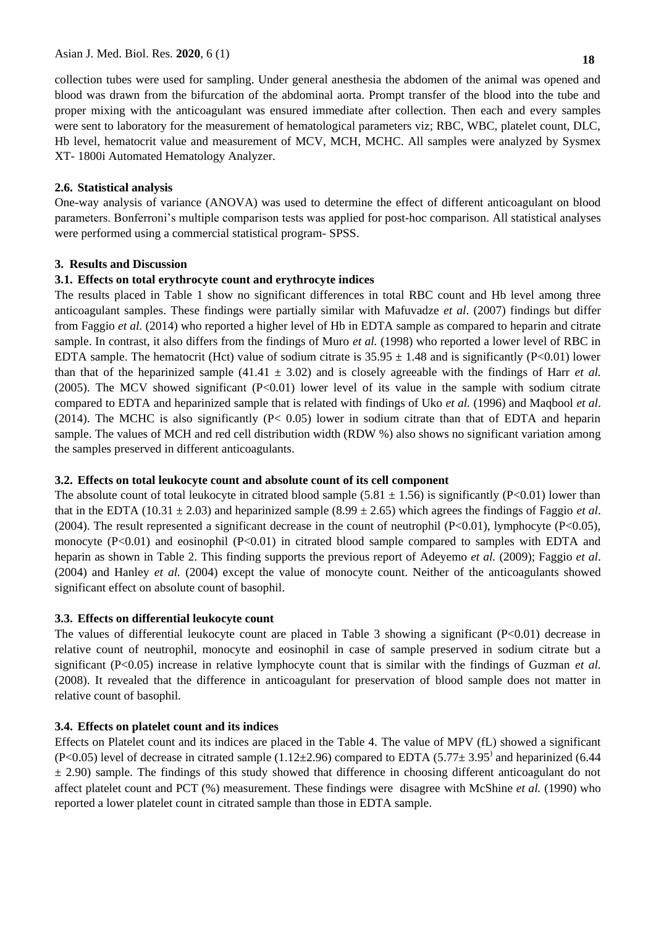collection tubes were used for sampling. Under general anesthesia the abdomen of the animal was opened and blood was drawn from the bifurcation of the abdominal aorta. Prompt transfer of the blood into the tube and proper mixing with the anticoagulant was ensured immediate after collection. Then each and every samples were sent to laboratory for the measurement of hematological parameters viz; RBC, WBC, platelet count, DLC, Hb level, hematocrit value and measurement of MCV, MCH, MCHC. All samples were analyzed by Sysmex XT- 1800i Automated Hematology Analyzer.

### **2.6. Statistical analysis**

One-way analysis of variance (ANOVA) was used to determine the effect of different anticoagulant on blood parameters. Bonferroni's multiple comparison tests was applied for post-hoc comparison. All statistical analyses were performed using a commercial statistical program- SPSS.

### **3. Results and Discussion**

### **3.1. Effects on total erythrocyte count and erythrocyte indices**

The results placed in Table 1 show no significant differences in total RBC count and Hb level among three anticoagulant samples. These findings were partially similar with Mafuvadze *et al*. (2007) findings but differ from Faggio *et al.* (2014) who reported a higher level of Hb in EDTA sample as compared to heparin and citrate sample. In contrast, it also differs from the findings of Muro *et al.* (1998) who reported a lower level of RBC in EDTA sample. The hematocrit (Hct) value of sodium citrate is  $35.95 \pm 1.48$  and is significantly (P<0.01) lower than that of the heparinized sample (41.41  $\pm$  3.02) and is closely agreeable with the findings of Harr *et al.* (2005). The MCV showed significant (P<0.01) lower level of its value in the sample with sodium citrate compared to EDTA and heparinized sample that is related with findings of Uko *et al.* (1996) and Maqbool *et al*. (2014). The MCHC is also significantly (P< 0.05) lower in sodium citrate than that of EDTA and heparin sample. The values of MCH and red cell distribution width (RDW %) also shows no significant variation among the samples preserved in different anticoagulants.

# **3.2. Effects on total leukocyte count and absolute count of its cell component**

The absolute count of total leukocyte in citrated blood sample (5.81  $\pm$  1.56) is significantly (P<0.01) lower than that in the EDTA (10.31  $\pm$  2.03) and heparinized sample (8.99  $\pm$  2.65) which agrees the findings of Faggio *et al*. (2004). The result represented a significant decrease in the count of neutrophil (P<0.01), lymphocyte (P<0.05), monocyte  $(P<0.01)$  and eosinophil  $(P<0.01)$  in citrated blood sample compared to samples with EDTA and heparin as shown in Table 2. This finding supports the previous report of Adeyemo *et al.* (2009); Faggio *et al*. (2004) and Hanley *et al.* (2004) except the value of monocyte count. Neither of the anticoagulants showed significant effect on absolute count of basophil.

# **3.3. Effects on differential leukocyte count**

The values of differential leukocyte count are placed in Table 3 showing a significant (P<0.01) decrease in relative count of neutrophil, monocyte and eosinophil in case of sample preserved in sodium citrate but a significant (P<0.05) increase in relative lymphocyte count that is similar with the findings of Guzman *et al.* (2008). It revealed that the difference in anticoagulant for preservation of blood sample does not matter in relative count of basophil.

# **3.4. Effects on platelet count and its indices**

Effects on Platelet count and its indices are placed in the Table 4. The value of MPV (fL) showed a significant (P<0.05) level of decrease in citrated sample ( $1.12\pm2.96$ ) compared to EDTA ( $5.77\pm3.95$ <sup>)</sup> and heparinized (6.44  $\pm$  2.90) sample. The findings of this study showed that difference in choosing different anticoagulant do not affect platelet count and PCT (%) measurement. These findings were disagree with McShine *et al.* (1990) who reported a lower platelet count in citrated sample than those in EDTA sample.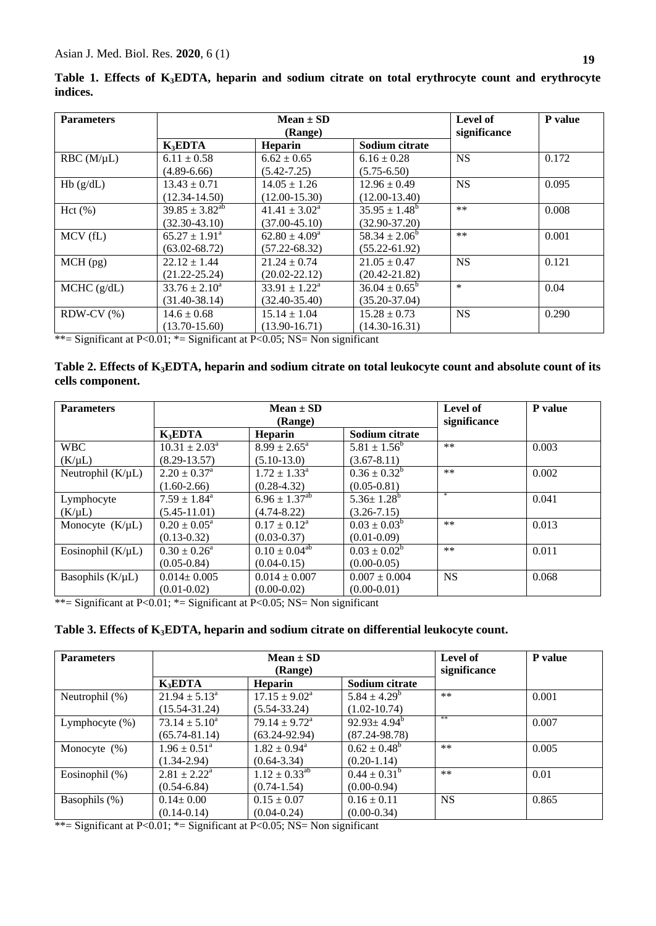| <b>Parameters</b> | $Mean \pm SD$            |                             |                          | Level of     | P value |
|-------------------|--------------------------|-----------------------------|--------------------------|--------------|---------|
|                   | (Range)                  |                             |                          | significance |         |
|                   | $K_3EDTA$                | Heparin                     | Sodium citrate           |              |         |
| $RBC(M/\mu L)$    | $6.11 \pm 0.58$          | $6.62 \pm 0.65$             | $6.16 \pm 0.28$          | <b>NS</b>    | 0.172   |
|                   | $(4.89 - 6.66)$          | $(5.42 - 7.25)$             | $(5.75 - 6.50)$          |              |         |
| Hb(g/dL)          | $13.43 \pm 0.71$         | $14.05 \pm 1.26$            | $12.96 \pm 0.49$         | <b>NS</b>    | 0.095   |
|                   | $(12.34 - 14.50)$        | $(12.00 - 15.30)$           | $(12.00-13.40)$          |              |         |
| Hct(%)            | $39.85 \pm 3.82^{ab}$    | $41.41 \pm 3.02^{\circ}$    | $35.95 \pm 1.48^b$       | $***$        | 0.008   |
|                   | $(32.30 - 43.10)$        | $(37.00 - 45.10)$           | $(32.90 - 37.20)$        |              |         |
| MCV (fL)          | $65.27 \pm 1.91^{\circ}$ | $62.80 \pm 4.09^a$          | $58.34 \pm 2.06^b$       | $***$        | 0.001   |
|                   | $(63.02 - 68.72)$        | $(57.22 - 68.32)$           | $(55.22 - 61.92)$        |              |         |
| $MCH$ (pg)        | $22.12 \pm 1.44$         | $21.24 \pm 0.74$            | $21.05 \pm 0.47$         | <b>NS</b>    | 0.121   |
|                   | $(21.22 - 25.24)$        | $(20.02 - 22.12)$           | $(20.42 - 21.82)$        |              |         |
| MCHC (g/dL)       | $33.76 \pm 2.10^a$       | $33.91 \pm 1.22^{\text{a}}$ | $36.04 \pm 0.65^{\circ}$ | $\ast$       | 0.04    |
|                   | $(31.40 - 38.14)$        | $(32.40 - 35.40)$           | $(35.20 - 37.04)$        |              |         |
| $RDW-CV$ $%$ )    | $14.6 \pm 0.68$          | $15.14 \pm 1.04$            | $15.28 \pm 0.73$         | <b>NS</b>    | 0.290   |
|                   | $(13.70 - 15.60)$        | $(13.90 - 16.71)$           | $(14.30 - 16.31)$        |              |         |

**Table 1. Effects of K3EDTA, heparin and sodium citrate on total erythrocyte count and erythrocyte indices.**

\*\*= Significant at P<0.01; \*= Significant at P<0.05; NS= Non significant

### **Table 2. Effects of K3EDTA, heparin and sodium citrate on total leukocyte count and absolute count of its cells component.**

| <b>Parameters</b>      | $Mean \pm SD$               |                            |                   | Level of     | P value |
|------------------------|-----------------------------|----------------------------|-------------------|--------------|---------|
|                        | (Range)                     |                            |                   | significance |         |
|                        | K <sub>3</sub> EDTA         | <b>Heparin</b>             | Sodium citrate    |              |         |
| <b>WBC</b>             | $10.31 \pm 2.03^{\text{a}}$ | $8.99 \pm 2.65^{\text{a}}$ | $5.81 \pm 1.56^b$ | $***$        | 0.003   |
| $(K/\mu L)$            | $(8.29 - 13.57)$            | $(5.10-13.0)$              | $(3.67 - 8.11)$   |              |         |
| Neutrophil $(K/\mu L)$ | $2.20 \pm 0.37^{\text{a}}$  | $1.72 \pm 1.33^{\text{a}}$ | $0.36 \pm 0.32^b$ | $***$        | 0.002   |
|                        | $(1.60 - 2.66)$             | $(0.28 - 4.32)$            | $(0.05 - 0.81)$   |              |         |
| Lymphocyte             | $7.59 \pm 1.84^{\text{a}}$  | $6.96 \pm 1.37^{ab}$       | $5.36 \pm 1.28^b$ | $\ast$       | 0.041   |
| $(K/\mu L)$            | $(5.45 - 11.01)$            | $(4.74 - 8.22)$            | $(3.26 - 7.15)$   |              |         |
| Monocyte $(K/\mu L)$   | $0.20 \pm 0.05^{\text{a}}$  | $0.17 \pm 0.12^a$          | $0.03 \pm 0.03^b$ | $***$        | 0.013   |
|                        | $(0.13 - 0.32)$             | $(0.03 - 0.37)$            | $(0.01 - 0.09)$   |              |         |
| Eosinophil $(K/\mu L)$ | $0.30 \pm 0.26^{\circ}$     | $0.10 \pm 0.04^{ab}$       | $0.03 \pm 0.02^b$ | $***$        | 0.011   |
|                        | $(0.05 - 0.84)$             | $(0.04 - 0.15)$            | $(0.00-0.05)$     |              |         |
| Basophils $(K/\mu L)$  | $0.014 \pm 0.005$           | $0.014 \pm 0.007$          | $0.007 \pm 0.004$ | <b>NS</b>    | 0.068   |
|                        | $(0.01 - 0.02)$             | $(0.00 - 0.02)$            | $(0.00 - 0.01)$   |              |         |

\*\*= Significant at P<0.01; \*= Significant at P<0.05; NS= Non significant

# **Table 3. Effects of K3EDTA, heparin and sodium citrate on differential leukocyte count.**

| <b>Parameters</b> | $Mean \pm SD$<br>(Range)   |                             |                    | Level of<br>significance | P value |
|-------------------|----------------------------|-----------------------------|--------------------|--------------------------|---------|
|                   | K <sub>3</sub> EDTA        | <b>Heparin</b>              | Sodium citrate     |                          |         |
| Neutrophil (%)    | $21.94 \pm 5.13^{\circ}$   | $17.15 \pm 9.02^{\text{a}}$ | $5.84 \pm 4.29^b$  | $***$                    | 0.001   |
|                   | $(15.54 - 31.24)$          | $(5.54 - 33.24)$            | $(1.02 - 10.74)$   |                          |         |
| Lymphocyte $(\%)$ | $73.14 \pm 5.10^a$         | $79.14 \pm 9.72^{\text{a}}$ | $92.93 \pm 4.94^b$ | **                       | 0.007   |
|                   | $(65.74 - 81.14)$          | $(63.24 - 92.94)$           | $(87.24 - 98.78)$  |                          |         |
| Monocyte $(\%)$   | $1.96 \pm 0.51^{\circ}$    | $1.82 \pm 0.94^{\text{a}}$  | $0.62 \pm 0.48^b$  | $**$                     | 0.005   |
|                   | $(1.34 - 2.94)$            | $(0.64 - 3.34)$             | $(0.20 - 1.14)$    |                          |         |
| Eosinophil (%)    | $2.81 \pm 2.22^{\text{a}}$ | $1.12 \pm 0.33^{ab}$        | $0.44 \pm 0.31^b$  | $**$                     | 0.01    |
|                   | $(0.54 - 6.84)$            | $(0.74 - 1.54)$             | $(0.00-0.94)$      |                          |         |
| Basophils (%)     | $0.14 \pm 0.00$            | $0.15 \pm 0.07$             | $0.16 \pm 0.11$    | <b>NS</b>                | 0.865   |
|                   | $(0.14 - 0.14)$            | $(0.04 - 0.24)$             | $(0.00-0.34)$      |                          |         |

\*\*= Significant at P<0.01; \*= Significant at P<0.05; NS= Non significant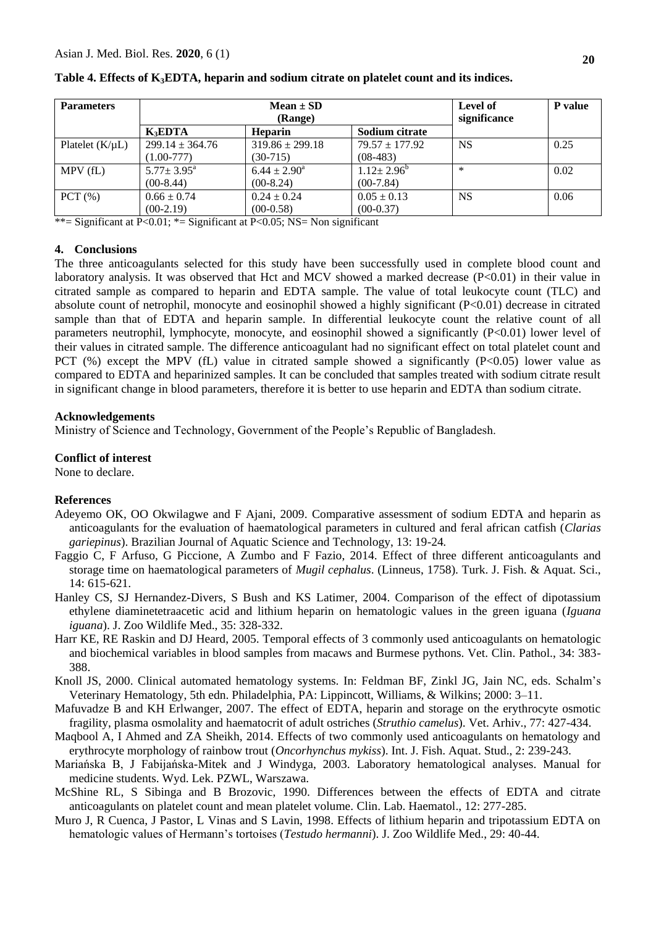| <b>Parameters</b>    | $Mean \pm SD$<br>(Range)                  |                                        |                                  | Level of<br>significance | P value |
|----------------------|-------------------------------------------|----------------------------------------|----------------------------------|--------------------------|---------|
|                      | <b>K</b> <sub>R</sub> EDTA                | <b>Heparin</b>                         | Sodium citrate                   |                          |         |
| Platelet $(K/\mu L)$ | $299.14 \pm 364.76$<br>$(1.00-777)$       | $319.86 \pm 299.18$<br>$(30-715)$      | $79.57 \pm 177.92$<br>$(08-483)$ | <b>NS</b>                | 0.25    |
| MPV(fL)              | $5.77 \pm 3.95^{\text{a}}$<br>$(00-8.44)$ | $6.44 \pm 2.90^{\circ}$<br>$(00-8.24)$ | $1.12 \pm 2.96^b$<br>$(00-7.84)$ | $\ast$                   | 0.02    |
| PCT(%)               | $0.66 \pm 0.74$<br>$(00-2.19)$            | $0.24 \pm 0.24$<br>$(00-0.58)$         | $0.05 \pm 0.13$<br>$(00-0.37)$   | <b>NS</b>                | 0.06    |

\*\*= Significant at P<0.01; \*= Significant at P<0.05; NS= Non significant

### **4. Conclusions**

The three anticoagulants selected for this study have been successfully used in complete blood count and laboratory analysis. It was observed that Hct and MCV showed a marked decrease  $(P<0.01)$  in their value in citrated sample as compared to heparin and EDTA sample. The value of total leukocyte count (TLC) and absolute count of netrophil, monocyte and eosinophil showed a highly significant (P<0.01) decrease in citrated sample than that of EDTA and heparin sample. In differential leukocyte count the relative count of all parameters neutrophil, lymphocyte, monocyte, and eosinophil showed a significantly (P<0.01) lower level of their values in citrated sample. The difference anticoagulant had no significant effect on total platelet count and PCT (%) except the MPV (fL) value in citrated sample showed a significantly  $(P<0.05)$  lower value as compared to EDTA and heparinized samples. It can be concluded that samples treated with sodium citrate result in significant change in blood parameters, therefore it is better to use heparin and EDTA than sodium citrate.

### **Acknowledgements**

Ministry of Science and Technology, Government of the People's Republic of Bangladesh.

# **Conflict of interest**

None to declare.

# **References**

- Adeyemo OK, OO Okwilagwe and F Ajani, 2009. Comparative assessment of sodium EDTA and heparin as anticoagulants for the evaluation of haematological parameters in cultured and feral african catfish (*Clarias gariepinus*). Brazilian Journal of Aquatic Science and Technology, 13: 19-24*.*
- Faggio C, F Arfuso, G Piccione, A Zumbo and F Fazio, 2014. Effect of three different anticoagulants and storage time on haematological parameters of *Mugil cephalus*. (Linneus, 1758). Turk. J. Fish. & Aquat. Sci., 14: 615-621.
- Hanley CS, SJ Hernandez-Divers, S Bush and KS Latimer, 2004. Comparison of the effect of dipotassium ethylene diaminetetraacetic acid and lithium heparin on hematologic values in the green iguana (*Iguana iguana*). J. Zoo Wildlife Med., 35: 328-332.
- Harr KE, RE Raskin and DJ Heard, 2005. Temporal effects of 3 commonly used anticoagulants on hematologic and biochemical variables in blood samples from macaws and Burmese pythons. Vet. Clin. Pathol., 34: 383- 388.
- Knoll JS, 2000. Clinical automated hematology systems. In: Feldman BF, Zinkl JG, Jain NC, eds. Schalm's Veterinary Hematology, 5th edn. Philadelphia, PA: Lippincott, Williams, & Wilkins; 2000: 3–11.
- Mafuvadze B and KH Erlwanger, 2007. The effect of EDTA, heparin and storage on the erythrocyte osmotic fragility, plasma osmolality and haematocrit of adult ostriches (*Struthio camelus*). Vet. Arhiv., 77: 427-434.
- Maqbool A, I Ahmed and ZA Sheikh, 2014. Effects of two commonly used anticoagulants on hematology and erythrocyte morphology of rainbow trout (*Oncorhynchus mykiss*). Int. J. Fish. Aquat. Stud., 2: 239-243.
- Mariańska B, J Fabijańska-Mitek and J Windyga, 2003. Laboratory hematological analyses. Manual for medicine students. Wyd. Lek. PZWL, Warszawa.
- McShine RL, S Sibinga and B Brozovic, 1990. Differences between the effects of EDTA and citrate anticoagulants on platelet count and mean platelet volume. Clin. Lab. Haematol., 12: 277-285.
- Muro J, R Cuenca, J Pastor, L Vinas and S Lavin, 1998. Effects of lithium heparin and tripotassium EDTA on hematologic values of Hermann's tortoises (*Testudo hermanni*). J. Zoo Wildlife Med., 29: 40-44.